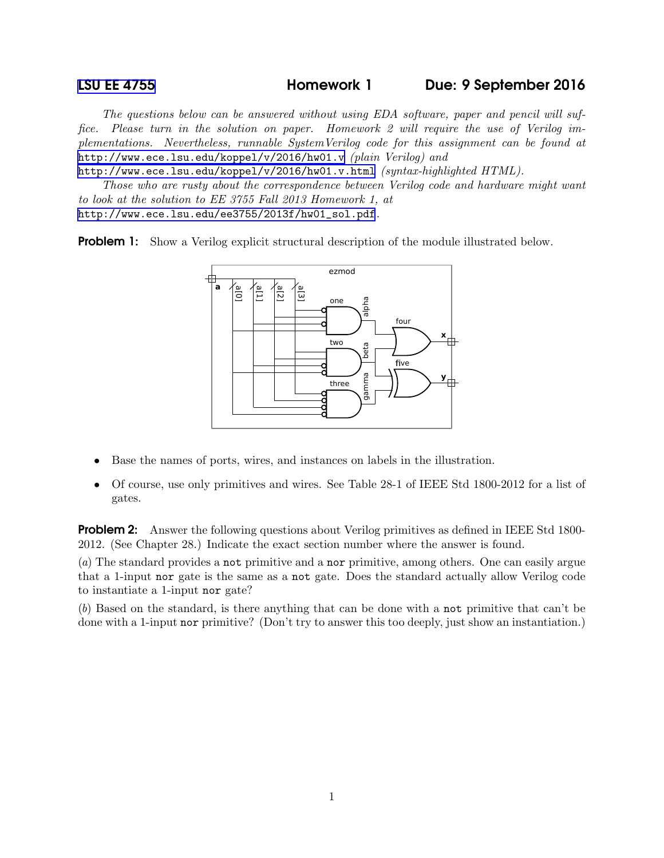## [LSU EE 4755](http://www.ece.lsu.edu/koppel/v/) Homework 1 Due: 9 September 2016

The questions below can be answered without using EDA software, paper and pencil will suffice. Please turn in the solution on paper. Homework 2 will require the use of Verilog implementations. Nevertheless, runnable SystemVerilog code for this assignment can be found at <http://www.ece.lsu.edu/koppel/v/2016/hw01.v> (plain Verilog) and

<http://www.ece.lsu.edu/koppel/v/2016/hw01.v.html> (syntax-highlighted HTML).

Those who are rusty about the correspondence between Verilog code and hardware might want to look at the solution to EE 3755 Fall 2013 Homework 1, at [http://www.ece.lsu.edu/ee3755/2013f/hw01\\_sol.pdf](http://www.ece.lsu.edu/ee3755/2013f/hw01_sol.pdf).

**Problem 1:** Show a Verilog explicit structural description of the module illustrated below.



- Base the names of ports, wires, and instances on labels in the illustration.
- Of course, use only primitives and wires. See Table 28-1 of IEEE Std 1800-2012 for a list of gates.

**Problem 2:** Answer the following questions about Verilog primitives as defined in IEEE Std 1800-2012. (See Chapter 28.) Indicate the exact section number where the answer is found.

(a) The standard provides a not primitive and a nor primitive, among others. One can easily argue that a 1-input nor gate is the same as a not gate. Does the standard actually allow Verilog code to instantiate a 1-input nor gate?

(b) Based on the standard, is there anything that can be done with a not primitive that can't be done with a 1-input nor primitive? (Don't try to answer this too deeply, just show an instantiation.)